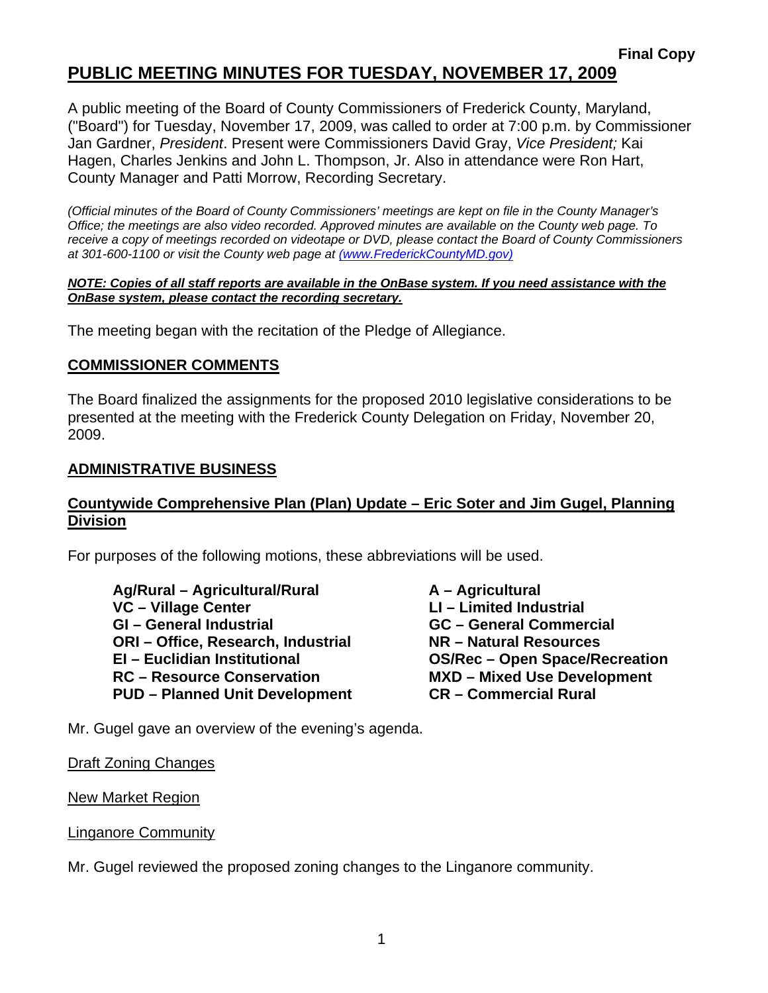A public meeting of the Board of County Commissioners of Frederick County, Maryland, ("Board") for Tuesday, November 17, 2009, was called to order at 7:00 p.m. by Commissioner Jan Gardner, *President*. Present were Commissioners David Gray, *Vice President;* Kai Hagen, Charles Jenkins and John L. Thompson, Jr. Also in attendance were Ron Hart, County Manager and Patti Morrow, Recording Secretary.

*(Official minutes of the Board of County Commissioners' meetings are kept on file in the County Manager's Office; the meetings are also video recorded. Approved minutes are available on the County web page. To receive a copy of meetings recorded on videotape or DVD, please contact the Board of County Commissioners at 301-600-1100 or visit the County web page at (www.FrederickCountyMD.gov)*

#### *NOTE: Copies of all staff reports are available in the OnBase system. If you need assistance with the OnBase system, please contact the recording secretary.*

The meeting began with the recitation of the Pledge of Allegiance.

### **COMMISSIONER COMMENTS**

The Board finalized the assignments for the proposed 2010 legislative considerations to be presented at the meeting with the Frederick County Delegation on Friday, November 20, 2009.

#### **ADMINISTRATIVE BUSINESS**

### **Countywide Comprehensive Plan (Plan) Update – Eric Soter and Jim Gugel, Planning Division**

For purposes of the following motions, these abbreviations will be used.

Ag/Rural – Agricultural/Rural **A** – Agricultural **VC – Village Center LI – Limited Industrial COVE 10. GI – General Industrial GC – General Commercial**  ORI – Office, Research, Industrial **NR – Natural Resources EI – Euclidian Institutional OS/Rec – Open Space/Recreation RC – Resource Conservation MXD – Mixed Use Development PUD – Planned Unit Development CR – Commercial Rural** 

Mr. Gugel gave an overview of the evening's agenda.

Draft Zoning Changes

New Market Region

Linganore Community

Mr. Gugel reviewed the proposed zoning changes to the Linganore community.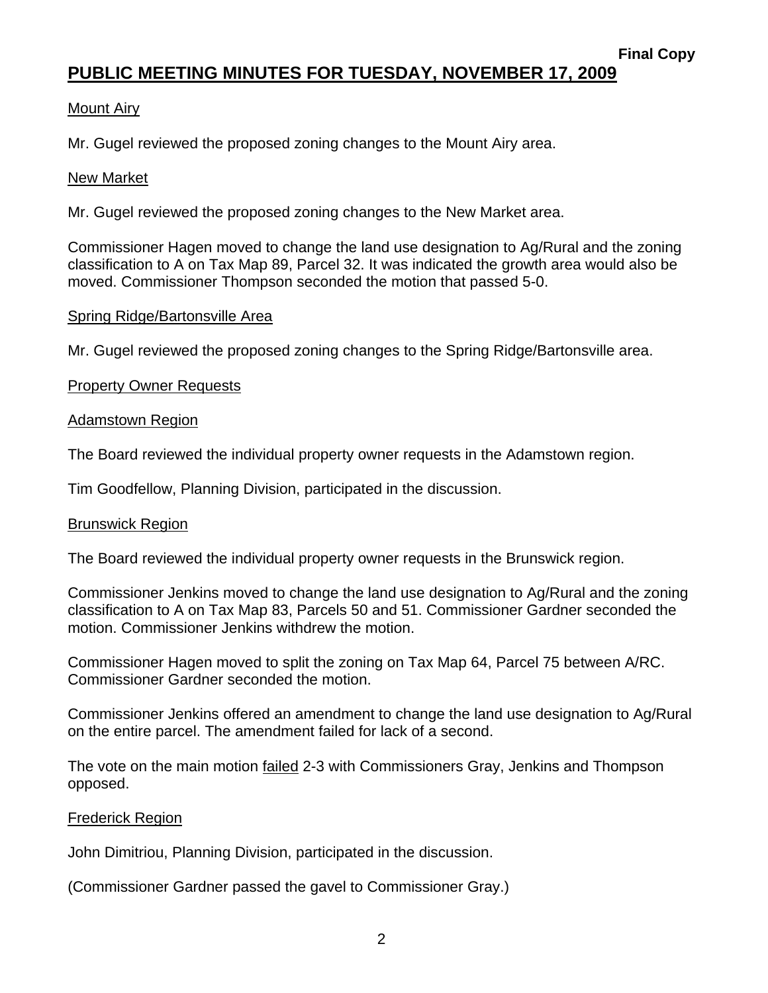### Mount Airy

Mr. Gugel reviewed the proposed zoning changes to the Mount Airy area.

#### New Market

Mr. Gugel reviewed the proposed zoning changes to the New Market area.

Commissioner Hagen moved to change the land use designation to Ag/Rural and the zoning classification to A on Tax Map 89, Parcel 32. It was indicated the growth area would also be moved. Commissioner Thompson seconded the motion that passed 5-0.

#### Spring Ridge/Bartonsville Area

Mr. Gugel reviewed the proposed zoning changes to the Spring Ridge/Bartonsville area.

#### Property Owner Requests

#### Adamstown Region

The Board reviewed the individual property owner requests in the Adamstown region.

Tim Goodfellow, Planning Division, participated in the discussion.

#### Brunswick Region

The Board reviewed the individual property owner requests in the Brunswick region.

Commissioner Jenkins moved to change the land use designation to Ag/Rural and the zoning classification to A on Tax Map 83, Parcels 50 and 51. Commissioner Gardner seconded the motion. Commissioner Jenkins withdrew the motion.

Commissioner Hagen moved to split the zoning on Tax Map 64, Parcel 75 between A/RC. Commissioner Gardner seconded the motion.

Commissioner Jenkins offered an amendment to change the land use designation to Ag/Rural on the entire parcel. The amendment failed for lack of a second.

The vote on the main motion failed 2-3 with Commissioners Gray, Jenkins and Thompson opposed.

#### Frederick Region

John Dimitriou, Planning Division, participated in the discussion.

(Commissioner Gardner passed the gavel to Commissioner Gray.)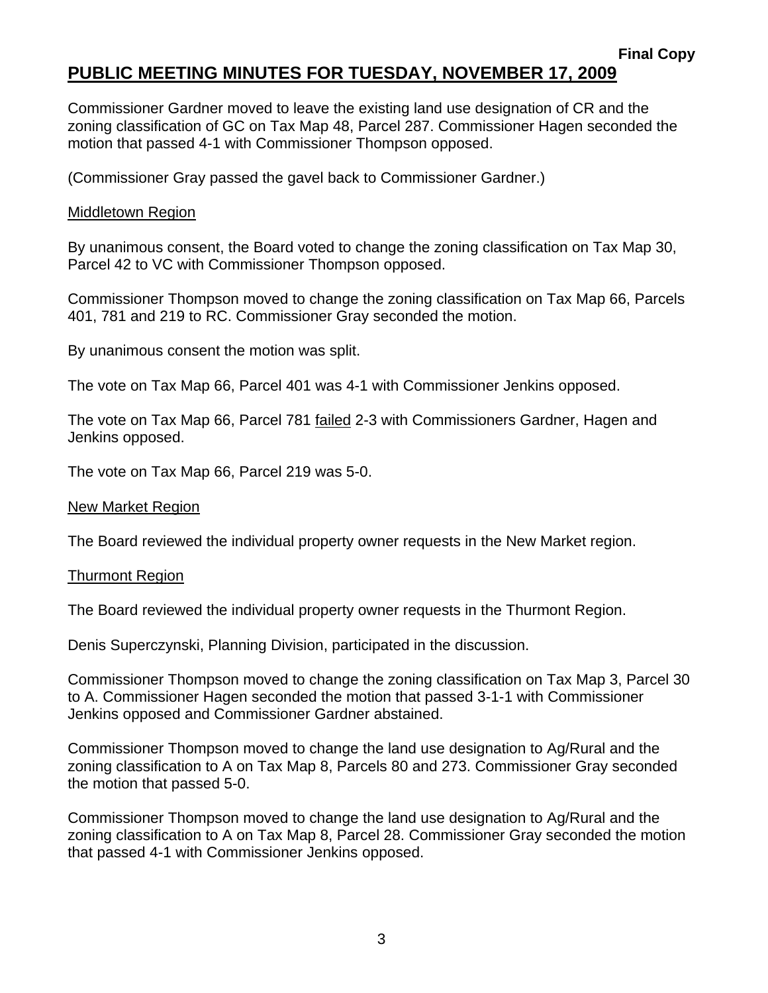Commissioner Gardner moved to leave the existing land use designation of CR and the zoning classification of GC on Tax Map 48, Parcel 287. Commissioner Hagen seconded the motion that passed 4-1 with Commissioner Thompson opposed.

(Commissioner Gray passed the gavel back to Commissioner Gardner.)

### Middletown Region

By unanimous consent, the Board voted to change the zoning classification on Tax Map 30, Parcel 42 to VC with Commissioner Thompson opposed.

Commissioner Thompson moved to change the zoning classification on Tax Map 66, Parcels 401, 781 and 219 to RC. Commissioner Gray seconded the motion.

By unanimous consent the motion was split.

The vote on Tax Map 66, Parcel 401 was 4-1 with Commissioner Jenkins opposed.

The vote on Tax Map 66, Parcel 781 failed 2-3 with Commissioners Gardner, Hagen and Jenkins opposed.

The vote on Tax Map 66, Parcel 219 was 5-0.

#### New Market Region

The Board reviewed the individual property owner requests in the New Market region.

#### Thurmont Region

The Board reviewed the individual property owner requests in the Thurmont Region.

Denis Superczynski, Planning Division, participated in the discussion.

Commissioner Thompson moved to change the zoning classification on Tax Map 3, Parcel 30 to A. Commissioner Hagen seconded the motion that passed 3-1-1 with Commissioner Jenkins opposed and Commissioner Gardner abstained.

Commissioner Thompson moved to change the land use designation to Ag/Rural and the zoning classification to A on Tax Map 8, Parcels 80 and 273. Commissioner Gray seconded the motion that passed 5-0.

Commissioner Thompson moved to change the land use designation to Ag/Rural and the zoning classification to A on Tax Map 8, Parcel 28. Commissioner Gray seconded the motion that passed 4-1 with Commissioner Jenkins opposed.